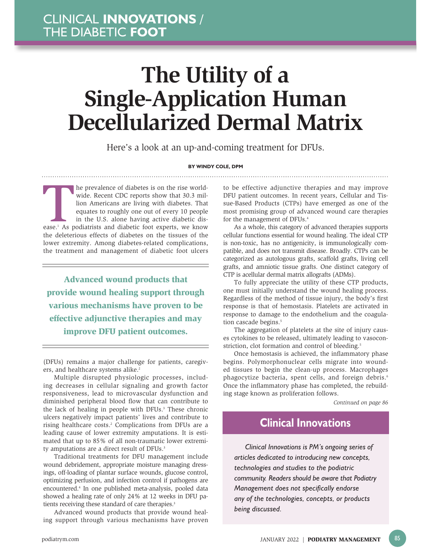# **The Utility of a Single-Application Human Decellularized Dermal Matrix**

Here's a look at an up-and-coming treatment for DFUs.

#### **BY WINDY COLE, DPM**

The prevalence of diabetes is on the rise world-<br>wide. Recent CDC reports show that 30.3 mil-<br>lion Americans are living with diabetes. That<br>equates to roughly one out of every 10 people<br>in the U.S. alone having active diab wide. Recent CDC reports show that 30.3 million Americans are living with diabetes. That equates to roughly one out of every 10 people in the U.S. alone having active diabetic disthe deleterious effects of diabetes on the tissues of the lower extremity. Among diabetes-related complications, the treatment and management of diabetic foot ulcers

Advanced wound products that provide wound healing support through various mechanisms have proven to be effective adjunctive therapies and may improve DFU patient outcomes.

(DFUs) remains a major challenge for patients, caregivers, and healthcare systems alike.<sup>2</sup>

Multiple disrupted physiologic processes, including decreases in cellular signaling and growth factor responsiveness, lead to microvascular dysfunction and diminished peripheral blood flow that can contribute to the lack of healing in people with DFUs.<sup>3</sup> These chronic ulcers negatively impact patients' lives and contribute to rising healthcare costs.<sup>2</sup> Complications from DFUs are a leading cause of lower extremity amputations. It is estimated that up to 85% of all non-traumatic lower extremity amputations are a direct result of DFUs.<sup>3</sup>

Traditional treatments for DFU management include wound debridement, appropriate moisture managing dressings, off-loading of plantar surface wounds, glucose control, optimizing perfusion, and infection control if pathogens are encountered.4 In one published meta-analysis, pooled data showed a healing rate of only 24% at 12 weeks in DFU patients receiving these standard of care therapies.<sup>3</sup>

Advanced wound products that provide wound healing support through various mechanisms have proven

to be effective adjunctive therapies and may improve DFU patient outcomes. In recent years, Cellular and Tissue-Based Products (CTPs) have emerged as one of the most promising group of advanced wound care therapies for the management of DFUs.<sup>4</sup>

As a whole, this category of advanced therapies supports cellular functions essential for wound healing. The ideal CTP is non-toxic, has no antigenicity, is immunologically compatible, and does not transmit disease. Broadly. CTPs can be categorized as autologous grafts, scaffold grafts, living cell grafts, and amniotic tissue grafts. One distinct category of CTP is acellular dermal matrix allografts (ADMs).

To fully appreciate the utility of these CTP products, one must initially understand the wound healing process. Regardless of the method of tissue injury, the body's first response is that of hemostasis. Platelets are activated in response to damage to the endothelium and the coagulation cascade begins.<sup>5</sup>

The aggregation of platelets at the site of injury causes cytokines to be released, ultimately leading to vasoconstriction, clot formation and control of bleeding.<sup>5</sup>

Once hemostasis is achieved, the inflammatory phase begins. Polymorphonuclear cells migrate into wounded tissues to begin the clean-up process. Macrophages phagocytize bacteria, spent cells, and foreign debris.<sup>6</sup> Once the inflammatory phase has completed, the rebuilding stage known as proliferation follows.

*Continued on page 86*

### **Clinical Innovations**

*Clinical Innovations is PM's ongoing series of articles dedicated to introducing new concepts, technologies and studies to the podiatric community. Readers should be aware that Podiatry Management does not specifically endorse any of the technologies, concepts, or products being discussed.*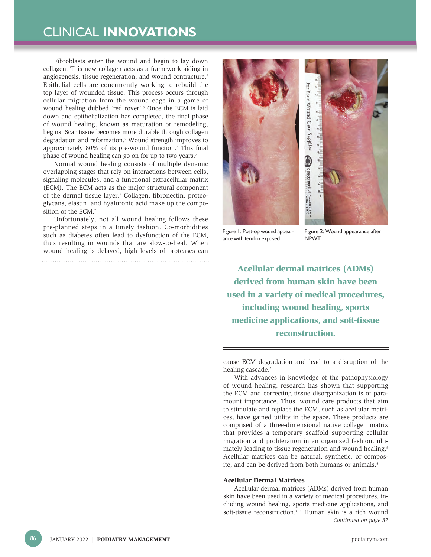Fibroblasts enter the wound and begin to lay down collagen. This new collagen acts as a framework aiding in angiogenesis, tissue regeneration, and wound contracture.<sup>6</sup> Epithelial cells are concurrently working to rebuild the top layer of wounded tissue. This process occurs through cellular migration from the wound edge in a game of wound healing dubbed 'red rover'.6 Once the ECM is laid down and epithelialization has completed, the final phase of wound healing, known as maturation or remodeling, begins. Scar tissue becomes more durable through collagen degradation and reformation.7 Wound strength improves to approximately 80% of its pre-wound function.<sup>7</sup> This final phase of wound healing can go on for up to two years.7

Normal wound healing consists of multiple dynamic overlapping stages that rely on interactions between cells, signaling molecules, and a functional extracellular matrix (ECM). The ECM acts as the major structural component of the dermal tissue layer.<sup>7</sup> Collagen, fibronectin, proteoglycans, elastin, and hyaluronic acid make up the composition of the ECM.7

Unfortunately, not all wound healing follows these pre-planned steps in a timely fashion. Co-morbidities such as diabetes often lead to dysfunction of the ECM, thus resulting in wounds that are slow-to-heal. When wound healing is delayed, high levels of proteases can 





Figure 1: Post-op wound appearance with tendon exposed

Figure 2: Wound appearance after NPWT

Acellular dermal matrices (ADMs) derived from human skin have been used in a variety of medical procedures, including wound healing, sports medicine applications, and soft-tissue reconstruction.

cause ECM degradation and lead to a disruption of the healing cascade.<sup>7</sup>

With advances in knowledge of the pathophysiology of wound healing, research has shown that supporting the ECM and correcting tissue disorganization is of paramount importance. Thus, wound care products that aim to stimulate and replace the ECM, such as acellular matrices, have gained utility in the space. These products are comprised of a three-dimensional native collagen matrix that provides a temporary scaffold supporting cellular migration and proliferation in an organized fashion, ultimately leading to tissue regeneration and wound healing.<sup>8</sup> Acellular matrices can be natural, synthetic, or composite, and can be derived from both humans or animals.<sup>8</sup>

### Acellular Dermal Matrices

Acellular dermal matrices (ADMs) derived from human skin have been used in a variety of medical procedures, including wound healing, sports medicine applications, and soft-tissue reconstruction.<sup>9,10</sup> Human skin is a rich wound *Continued on page 87*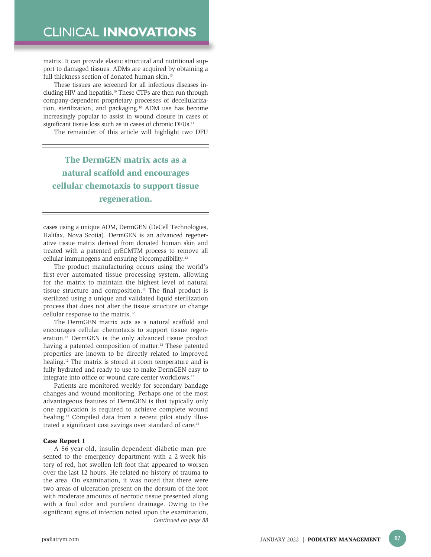matrix. It can provide elastic structural and nutritional support to damaged tissues. ADMs are acquired by obtaining a full thickness section of donated human skin.<sup>10</sup>

These tissues are screened for all infectious diseases including HIV and hepatitis.<sup>10</sup> These CTPs are then run through company-dependent proprietary processes of decellularization, sterilization, and packaging.<sup>10</sup> ADM use has become increasingly popular to assist in wound closure in cases of significant tissue loss such as in cases of chronic DFUs.<sup>11</sup>

The remainder of this article will highlight two DFU

### The DermGEN matrix acts as a natural scaffold and encourages cellular chemotaxis to support tissue regeneration.

cases using a unique ADM, DermGEN (DeCell Technologies, Halifax, Nova Scotia). DermGEN is an advanced regenerative tissue matrix derived from donated human skin and treated with a patented prECMTM process to remove all cellular immunogens and ensuring biocompatibility.12

The product manufacturing occurs using the world's first-ever automated tissue processing system, allowing for the matrix to maintain the highest level of natural tissue structure and composition.12 The final product is sterilized using a unique and validated liquid sterilization process that does not alter the tissue structure or change cellular response to the matrix.12

The DermGEN matrix acts as a natural scaffold and encourages cellular chemotaxis to support tissue regeneration.13 DermGEN is the only advanced tissue product having a patented composition of matter.<sup>12</sup> These patented properties are known to be directly related to improved healing.<sup>12</sup> The matrix is stored at room temperature and is fully hydrated and ready to use to make DermGEN easy to integrate into office or wound care center workflows.12

Patients are monitored weekly for secondary bandage changes and wound monitoring. Perhaps one of the most advantageous features of DermGEN is that typically only one application is required to achieve complete wound healing.<sup>13</sup> Compiled data from a recent pilot study illustrated a significant cost savings over standard of care.<sup>13</sup>

### Case Report 1

A 56-year-old, insulin-dependent diabetic man presented to the emergency department with a 2-week history of red, hot swollen left foot that appeared to worsen over the last 12 hours. He related no history of trauma to the area. On examination, it was noted that there were two areas of ulceration present on the dorsum of the foot with moderate amounts of necrotic tissue presented along with a foul odor and purulent drainage. Owing to the significant signs of infection noted upon the examination, *Continued on page 88*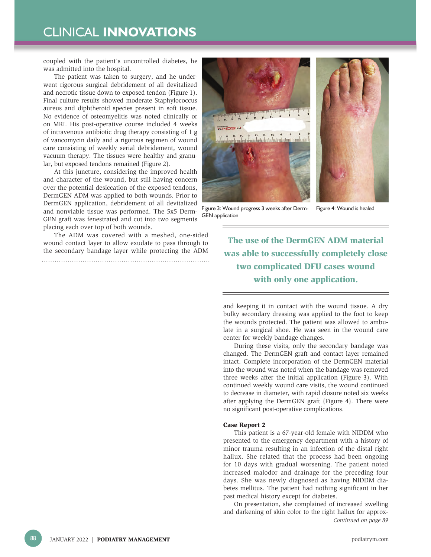coupled with the patient's uncontrolled diabetes, he was admitted into the hospital.

The patient was taken to surgery, and he underwent rigorous surgical debridement of all devitalized and necrotic tissue down to exposed tendon (Figure 1). Final culture results showed moderate Staphylococcus aureus and diphtheroid species present in soft tissue. No evidence of osteomyelitis was noted clinically or on MRI. His post-operative course included 4 weeks of intravenous antibiotic drug therapy consisting of 1 g of vancomycin daily and a rigorous regimen of wound care consisting of weekly serial debridement, wound vacuum therapy. The tissues were healthy and granular, but exposed tendons remained (Figure 2).

At this juncture, considering the improved health and character of the wound, but still having concern over the potential desiccation of the exposed tendons, DermGEN ADM was applied to both wounds. Prior to DermGEN application, debridement of all devitalized and nonviable tissue was performed. The 5x5 Derm-GEN graft was fenestrated and cut into two segments placing each over top of both wounds.

The ADM was covered with a meshed, one-sided wound contact layer to allow exudate to pass through to the secondary bandage layer while protecting the ADM 



Figure 3: Wound progress 3 weeks after Derm-GEN application Figure 4: Wound is healed

The use of the DermGEN ADM material was able to successfully completely close two complicated DFU cases wound with only one application.

and keeping it in contact with the wound tissue. A dry bulky secondary dressing was applied to the foot to keep the wounds protected. The patient was allowed to ambulate in a surgical shoe. He was seen in the wound care center for weekly bandage changes.

During these visits, only the secondary bandage was changed. The DermGEN graft and contact layer remained intact. Complete incorporation of the DermGEN material into the wound was noted when the bandage was removed three weeks after the initial application (Figure 3). With continued weekly wound care visits, the wound continued to decrease in diameter, with rapid closure noted six weeks after applying the DermGEN graft (Figure 4). There were no significant post-operative complications.

### Case Report 2

This patient is a 67-year-old female with NIDDM who presented to the emergency department with a history of minor trauma resulting in an infection of the distal right hallux. She related that the process had been ongoing for 10 days with gradual worsening. The patient noted increased malodor and drainage for the preceding four days. She was newly diagnosed as having NIDDM diabetes mellitus. The patient had nothing significant in her past medical history except for diabetes.

On presentation, she complained of increased swelling and darkening of skin color to the right hallux for approx-*Continued on page 89*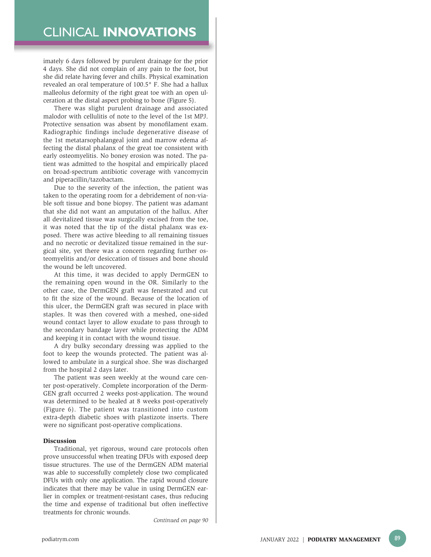imately 6 days followed by purulent drainage for the prior 4 days. She did not complain of any pain to the foot, but she did relate having fever and chills. Physical examination revealed an oral temperature of 100.5° F. She had a hallux malleolus deformity of the right great toe with an open ulceration at the distal aspect probing to bone (Figure 5).

There was slight purulent drainage and associated malodor with cellulitis of note to the level of the 1st MPJ. Protective sensation was absent by monofilament exam. Radiographic findings include degenerative disease of the 1st metatarsophalangeal joint and marrow edema affecting the distal phalanx of the great toe consistent with early osteomyelitis. No boney erosion was noted. The patient was admitted to the hospital and empirically placed on broad-spectrum antibiotic coverage with vancomycin and piperacillin/tazobactam.

Due to the severity of the infection, the patient was taken to the operating room for a debridement of non-viable soft tissue and bone biopsy. The patient was adamant that she did not want an amputation of the hallux. After all devitalized tissue was surgically excised from the toe, it was noted that the tip of the distal phalanx was exposed. There was active bleeding to all remaining tissues and no necrotic or devitalized tissue remained in the surgical site, yet there was a concern regarding further osteomyelitis and/or desiccation of tissues and bone should the wound be left uncovered.

At this time, it was decided to apply DermGEN to the remaining open wound in the OR. Similarly to the other case, the DermGEN graft was fenestrated and cut to fit the size of the wound. Because of the location of this ulcer, the DermGEN graft was secured in place with staples. It was then covered with a meshed, one-sided wound contact layer to allow exudate to pass through to the secondary bandage layer while protecting the ADM and keeping it in contact with the wound tissue.

A dry bulky secondary dressing was applied to the foot to keep the wounds protected. The patient was allowed to ambulate in a surgical shoe. She was discharged from the hospital 2 days later.

The patient was seen weekly at the wound care center post-operatively. Complete incorporation of the Derm-GEN graft occurred 2 weeks post-application. The wound was determined to be healed at 8 weeks post-operatively (Figure 6). The patient was transitioned into custom extra-depth diabetic shoes with plastizote inserts. There were no significant post-operative complications.

### Discussion

Traditional, yet rigorous, wound care protocols often prove unsuccessful when treating DFUs with exposed deep tissue structures. The use of the DermGEN ADM material was able to successfully completely close two complicated DFUs with only one application. The rapid wound closure indicates that there may be value in using DermGEN earlier in complex or treatment-resistant cases, thus reducing the time and expense of traditional but often ineffective treatments for chronic wounds.

*Continued on page 90*